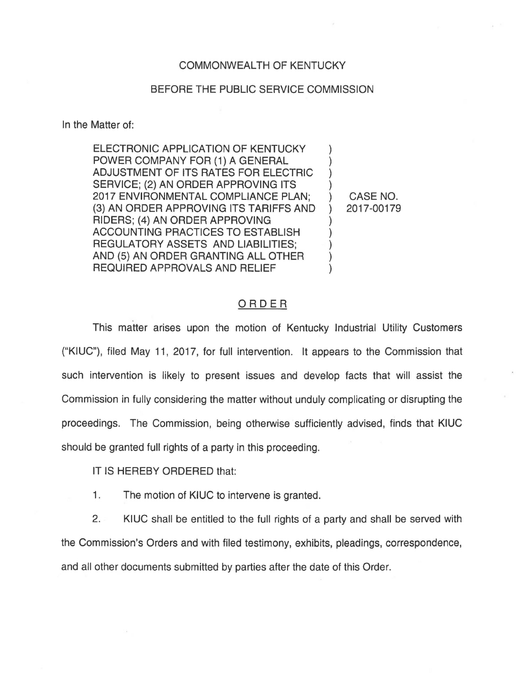## COMMONWEALTH OF KENTUCKY

## BEFORE THE PUBLIC SERVICE COMMISSION

In the Matter of:

ELECTRONIC APPLICATION OF KENTUCKY POWER COMPANY FOR (1) A GENERAL ADJUSTMENT OF ITS RATES FOR ELECTRIC ) SERVICE; (2) AN ORDER APPROVING ITS 2017 ENVIRONMENTAL COMPLIANCE PLAN; ) CASE NO. (3) AN ORDER APPROVING ITS TARIFFS AND ) 2017-00179 RIDERS; (4) AN ORDER APPROVING ) ACCOUNTING PRACTICES TO ESTABLISH ) REGULATORY ASSETS AND LIABILITIES: AND (5) AN ORDER GRANTING ALL OTHER REQUIRED APPROVALS AND RELIEF )

## ORDER

This matter arises upon the motion of Kentucky Industrial Utility Customers ("KIUC"), filed May 11, 2017, for full intervention. It appears to the Commission that such intervention is likely to present issues and develop facts that will assist the Commission in fully considering the matter without unduly complicating or disrupting the proceedings. The Commission, being otherwise sufficiently advised, finds that KIUC should be granted full rights of a party in this proceeding.

IT IS HEREBY ORDERED that:

1. The motion of KIUC to intervene is granted.

2. KIUC shall be entitled to the full rights of a party and shall be served with the Commission's Orders and with filed testimony, exhibits, pleadings, correspondence, and all other documents submitted by parties after the date of this Order.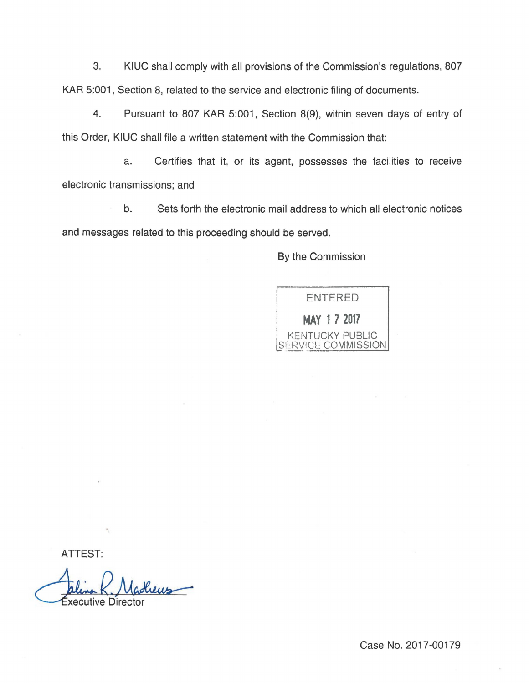3. KIUC shall comply with all provisions of the Commission's regulations, 807 KAR 5:001, Section 8, related to the service and electronic filing of documents.

4. Pursuant to 807 KAR 5:001, Section 8(9), within seven days of entry of this Order, KIUC shall file a written statement with the Commission that:

a. Certifies that it, or its agent, possesses the facilities to receive electronic transmissions; and

b. Sets forth the electronic mail address to which all electronic notices and messages related to this proceeding should be served.

By the Commission



ATTEST:

Executive Director

Case No. 2017-00179